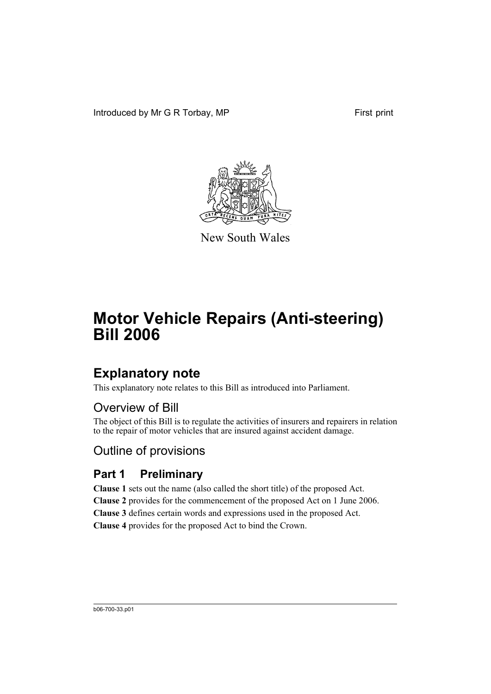Introduced by Mr G R Torbay, MP First print



New South Wales

# **Motor Vehicle Repairs (Anti-steering) Bill 2006**

# **Explanatory note**

This explanatory note relates to this Bill as introduced into Parliament.

# Overview of Bill

The object of this Bill is to regulate the activities of insurers and repairers in relation to the repair of motor vehicles that are insured against accident damage.

# Outline of provisions

# **Part 1 Preliminary**

**Clause 1** sets out the name (also called the short title) of the proposed Act. **Clause 2** provides for the commencement of the proposed Act on 1 June 2006. **Clause 3** defines certain words and expressions used in the proposed Act. **Clause 4** provides for the proposed Act to bind the Crown.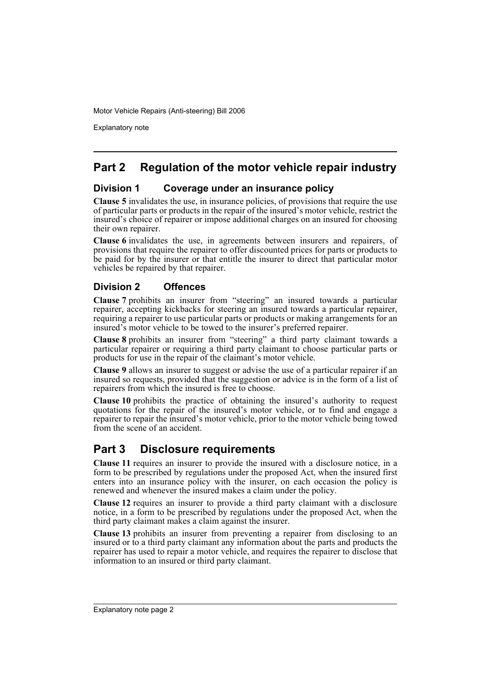Motor Vehicle Repairs (Anti-steering) Bill 2006

Explanatory note

## **Part 2 Regulation of the motor vehicle repair industry**

## **Division 1 Coverage under an insurance policy**

**Clause 5** invalidates the use, in insurance policies, of provisions that require the use of particular parts or products in the repair of the insured's motor vehicle, restrict the insured's choice of repairer or impose additional charges on an insured for choosing their own repairer.

**Clause 6** invalidates the use, in agreements between insurers and repairers, of provisions that require the repairer to offer discounted prices for parts or products to be paid for by the insurer or that entitle the insurer to direct that particular motor vehicles be repaired by that repairer.

## **Division 2 Offences**

**Clause 7** prohibits an insurer from "steering" an insured towards a particular repairer, accepting kickbacks for steering an insured towards a particular repairer, requiring a repairer to use particular parts or products or making arrangements for an insured's motor vehicle to be towed to the insurer's preferred repairer.

**Clause 8** prohibits an insurer from "steering" a third party claimant towards a particular repairer or requiring a third party claimant to choose particular parts or products for use in the repair of the claimant's motor vehicle.

**Clause 9** allows an insurer to suggest or advise the use of a particular repairer if an insured so requests, provided that the suggestion or advice is in the form of a list of repairers from which the insured is free to choose.

**Clause 10** prohibits the practice of obtaining the insured's authority to request quotations for the repair of the insured's motor vehicle, or to find and engage a repairer to repair the insured's motor vehicle, prior to the motor vehicle being towed from the scene of an accident.

## **Part 3 Disclosure requirements**

**Clause 11** requires an insurer to provide the insured with a disclosure notice, in a form to be prescribed by regulations under the proposed Act, when the insured first enters into an insurance policy with the insurer, on each occasion the policy is renewed and whenever the insured makes a claim under the policy.

**Clause 12** requires an insurer to provide a third party claimant with a disclosure notice, in a form to be prescribed by regulations under the proposed Act, when the third party claimant makes a claim against the insurer.

**Clause 13** prohibits an insurer from preventing a repairer from disclosing to an insured or to a third party claimant any information about the parts and products the repairer has used to repair a motor vehicle, and requires the repairer to disclose that information to an insured or third party claimant.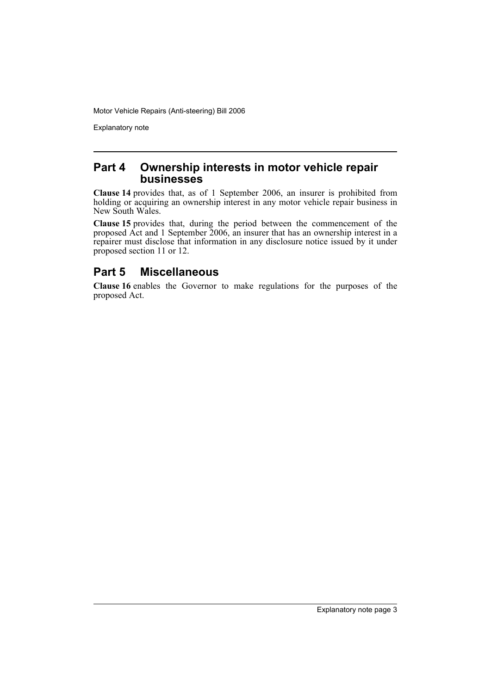Motor Vehicle Repairs (Anti-steering) Bill 2006

Explanatory note

## **Part 4 Ownership interests in motor vehicle repair businesses**

**Clause 14** provides that, as of 1 September 2006, an insurer is prohibited from holding or acquiring an ownership interest in any motor vehicle repair business in New South Wales.

**Clause 15** provides that, during the period between the commencement of the proposed Act and 1 September 2006, an insurer that has an ownership interest in a repairer must disclose that information in any disclosure notice issued by it under proposed section 11 or 12.

## **Part 5 Miscellaneous**

**Clause 16** enables the Governor to make regulations for the purposes of the proposed Act.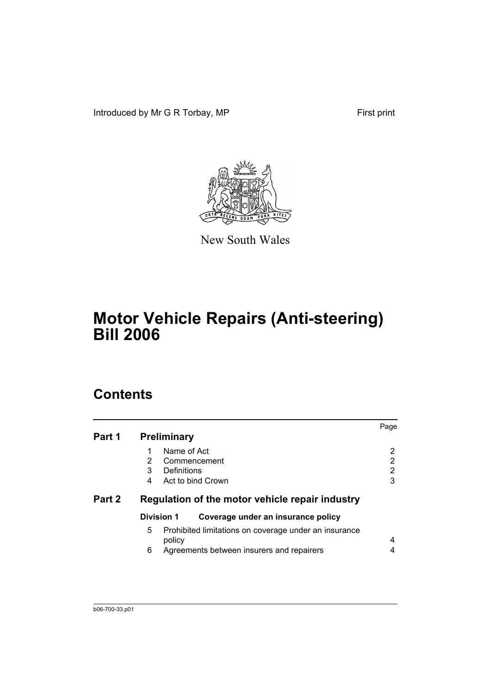Introduced by Mr G R Torbay, MP First print



New South Wales

# **Motor Vehicle Repairs (Anti-steering) Bill 2006**

# **Contents**

| Part 1 | <b>Preliminary</b>                                                    | Page           |
|--------|-----------------------------------------------------------------------|----------------|
|        | Name of Act<br>1                                                      | $\overline{2}$ |
|        | 2<br>Commencement                                                     | $\overline{2}$ |
|        | Definitions<br>3                                                      | 2              |
|        | Act to bind Crown<br>4                                                | 3              |
| Part 2 | Regulation of the motor vehicle repair industry                       |                |
|        | <b>Division 1</b><br>Coverage under an insurance policy               |                |
|        | 5.<br>Prohibited limitations on coverage under an insurance<br>policy | 4              |
|        | 6<br>Agreements between insurers and repairers                        | 4              |
|        |                                                                       |                |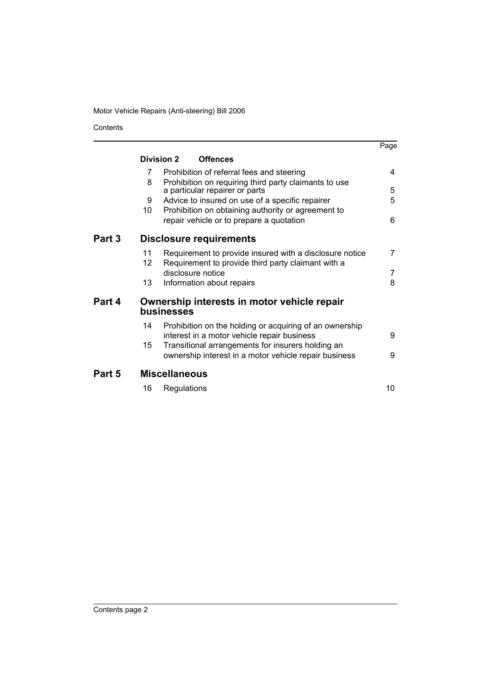## Motor Vehicle Repairs (Anti-steering) Bill 2006

Contents

|        |                 |                                |                                                                                                        | Page |
|--------|-----------------|--------------------------------|--------------------------------------------------------------------------------------------------------|------|
|        | Division 2      |                                | <b>Offences</b>                                                                                        |      |
|        | $\overline{7}$  |                                | Prohibition of referral fees and steering                                                              | 4    |
|        | 8               |                                | Prohibition on requiring third party claimants to use                                                  | 5    |
|        | 9               |                                | a particular repairer or parts                                                                         | 5    |
|        | 10              |                                | Advice to insured on use of a specific repairer<br>Prohibition on obtaining authority or agreement to  |      |
|        |                 |                                |                                                                                                        | 6    |
|        |                 |                                | repair vehicle or to prepare a quotation                                                               |      |
| Part 3 |                 | <b>Disclosure requirements</b> |                                                                                                        |      |
|        | 11              |                                | Requirement to provide insured with a disclosure notice                                                | 7    |
|        | 12 <sub>2</sub> |                                | Requirement to provide third party claimant with a                                                     |      |
|        |                 | disclosure notice              |                                                                                                        | 7    |
|        | 13              | Information about repairs      |                                                                                                        | 8    |
| Part 4 |                 | businesses                     | Ownership interests in motor vehicle repair                                                            |      |
|        | 14              |                                | Prohibition on the holding or acquiring of an ownership<br>interest in a motor vehicle repair business | 9    |
|        | 15              |                                | Transitional arrangements for insurers holding an                                                      |      |
|        |                 |                                | ownership interest in a motor vehicle repair business                                                  | 9    |
| Part 5 |                 | <b>Miscellaneous</b>           |                                                                                                        |      |
|        | 16              | Regulations                    |                                                                                                        | 10   |
|        |                 |                                |                                                                                                        |      |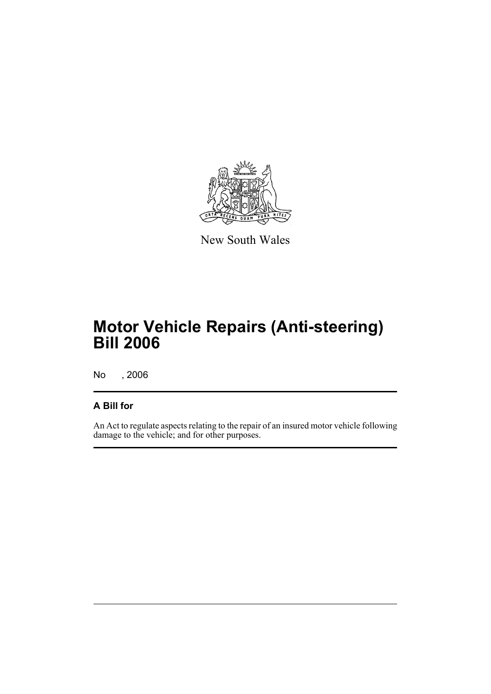

New South Wales

# **Motor Vehicle Repairs (Anti-steering) Bill 2006**

No , 2006

## **A Bill for**

An Act to regulate aspects relating to the repair of an insured motor vehicle following damage to the vehicle; and for other purposes.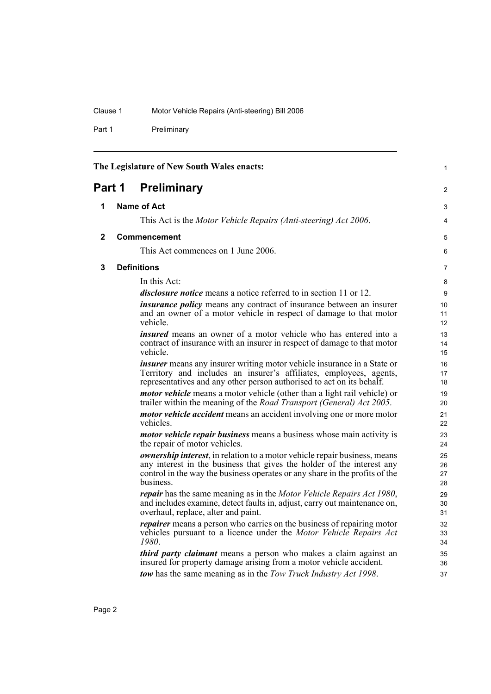Part 1 Preliminary

<span id="page-7-3"></span><span id="page-7-2"></span><span id="page-7-1"></span><span id="page-7-0"></span>

| The Legislature of New South Wales enacts: |  |                                                                                                                                                                                                                                                         | $\mathbf{1}$         |  |
|--------------------------------------------|--|---------------------------------------------------------------------------------------------------------------------------------------------------------------------------------------------------------------------------------------------------------|----------------------|--|
| <b>Preliminary</b><br>Part 1               |  |                                                                                                                                                                                                                                                         |                      |  |
| 1                                          |  | Name of Act                                                                                                                                                                                                                                             | 3                    |  |
|                                            |  | This Act is the Motor Vehicle Repairs (Anti-steering) Act 2006.                                                                                                                                                                                         | 4                    |  |
| 2                                          |  | <b>Commencement</b>                                                                                                                                                                                                                                     | 5                    |  |
|                                            |  | This Act commences on 1 June 2006.                                                                                                                                                                                                                      | 6                    |  |
| 3                                          |  | <b>Definitions</b>                                                                                                                                                                                                                                      | 7                    |  |
|                                            |  | In this Act:                                                                                                                                                                                                                                            | 8                    |  |
|                                            |  | <i>disclosure notice</i> means a notice referred to in section 11 or 12.                                                                                                                                                                                | 9                    |  |
|                                            |  | <i>insurance policy</i> means any contract of insurance between an insurer<br>and an owner of a motor vehicle in respect of damage to that motor<br>vehicle.                                                                                            | 10<br>11<br>12       |  |
|                                            |  | <i>insured</i> means an owner of a motor vehicle who has entered into a<br>contract of insurance with an insurer in respect of damage to that motor<br>vehicle.                                                                                         | 13<br>14<br>15       |  |
|                                            |  | <i>insurer</i> means any insurer writing motor vehicle insurance in a State or<br>Territory and includes an insurer's affiliates, employees, agents,<br>representatives and any other person authorised to act on its behalf.                           | 16<br>17<br>18       |  |
|                                            |  | motor vehicle means a motor vehicle (other than a light rail vehicle) or<br>trailer within the meaning of the Road Transport (General) Act 2005.                                                                                                        | 19<br>20             |  |
|                                            |  | <i>motor vehicle accident</i> means an accident involving one or more motor<br>vehicles.                                                                                                                                                                | 21<br>22             |  |
|                                            |  | <i>motor vehicle repair business</i> means a business whose main activity is<br>the repair of motor vehicles.                                                                                                                                           | 23<br>24             |  |
|                                            |  | <i>ownership interest</i> , in relation to a motor vehicle repair business, means<br>any interest in the business that gives the holder of the interest any<br>control in the way the business operates or any share in the profits of the<br>business. | 25<br>26<br>27<br>28 |  |
|                                            |  | <i>repair</i> has the same meaning as in the <i>Motor Vehicle Repairs Act 1980</i> ,<br>and includes examine, detect faults in, adjust, carry out maintenance on,<br>overhaul, replace, alter and paint.                                                | 29<br>30<br>31       |  |
|                                            |  | <i>repairer</i> means a person who carries on the business of repairing motor<br>vehicles pursuant to a licence under the Motor Vehicle Repairs Act<br>1980.                                                                                            | 32<br>33<br>34       |  |
|                                            |  | third party claimant means a person who makes a claim against an<br>insured for property damage arising from a motor vehicle accident.                                                                                                                  | 35<br>36             |  |
|                                            |  | tow has the same meaning as in the Tow Truck Industry Act 1998.                                                                                                                                                                                         | 37                   |  |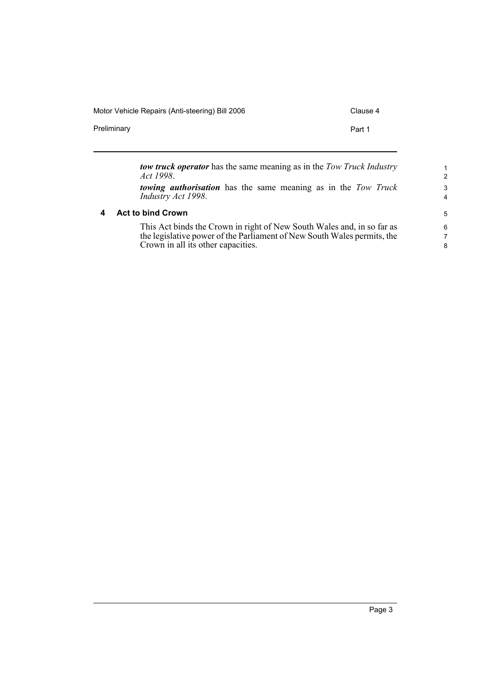Motor Vehicle Repairs (Anti-steering) Bill 2006 Clause 4

Preliminary **Preliminary** Part 1

<span id="page-8-0"></span>

|   | <b>tow truck operator</b> has the same meaning as in the Tow Truck Industry<br>Act 1998.                                                                                                | $\mathbf{1}$<br>$\mathcal{P}$ |
|---|-----------------------------------------------------------------------------------------------------------------------------------------------------------------------------------------|-------------------------------|
|   | <b>towing authorisation</b> has the same meaning as in the Tow Truck<br>Industry Act 1998.                                                                                              | 3<br>4                        |
| 4 | <b>Act to bind Crown</b>                                                                                                                                                                | 5                             |
|   | This Act binds the Crown in right of New South Wales and, in so far as<br>the legislative power of the Parliament of New South Wales permits, the<br>Crown in all its other capacities. | 6<br>7<br>8                   |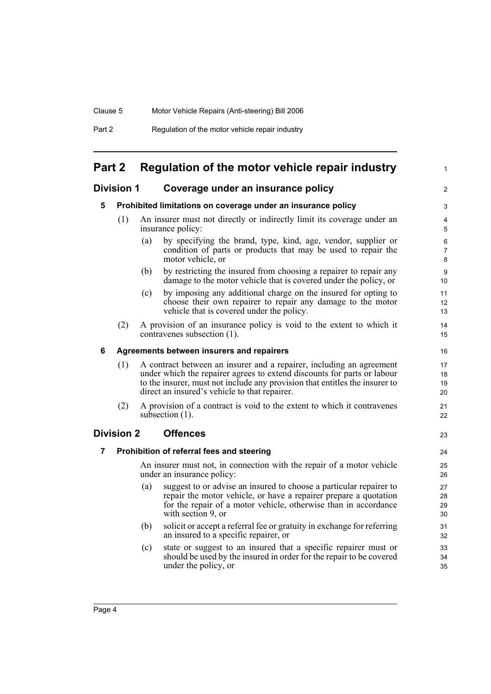| Part 2 | Regulation of the motor vehicle repair industry |
|--------|-------------------------------------------------|
|--------|-------------------------------------------------|

## <span id="page-9-0"></span>**Part 2 Regulation of the motor vehicle repair industry**

### <span id="page-9-2"></span><span id="page-9-1"></span>**Division 1 Coverage under an insurance policy**

### **5 Prohibited limitations on coverage under an insurance policy**

- (1) An insurer must not directly or indirectly limit its coverage under an insurance policy:
	- (a) by specifying the brand, type, kind, age, vendor, supplier or condition of parts or products that may be used to repair the motor vehicle, or

1

 $\overline{2}$ 

23

- (b) by restricting the insured from choosing a repairer to repair any damage to the motor vehicle that is covered under the policy, or
- (c) by imposing any additional charge on the insured for opting to choose their own repairer to repair any damage to the motor vehicle that is covered under the policy.
- (2) A provision of an insurance policy is void to the extent to which it contravenes subsection (1).

#### <span id="page-9-3"></span>**6 Agreements between insurers and repairers**

- (1) A contract between an insurer and a repairer, including an agreement under which the repairer agrees to extend discounts for parts or labour to the insurer, must not include any provision that entitles the insurer to direct an insured's vehicle to that repairer.
- (2) A provision of a contract is void to the extent to which it contravenes subsection  $(1)$ .

### <span id="page-9-5"></span><span id="page-9-4"></span>**Division 2 Offences**

### **7 Prohibition of referral fees and steering**

An insurer must not, in connection with the repair of a motor vehicle under an insurance policy:

- (a) suggest to or advise an insured to choose a particular repairer to repair the motor vehicle, or have a repairer prepare a quotation for the repair of a motor vehicle, otherwise than in accordance with section 9, or
- (b) solicit or accept a referral fee or gratuity in exchange for referring an insured to a specific repairer, or
- (c) state or suggest to an insured that a specific repairer must or should be used by the insured in order for the repair to be covered under the policy, or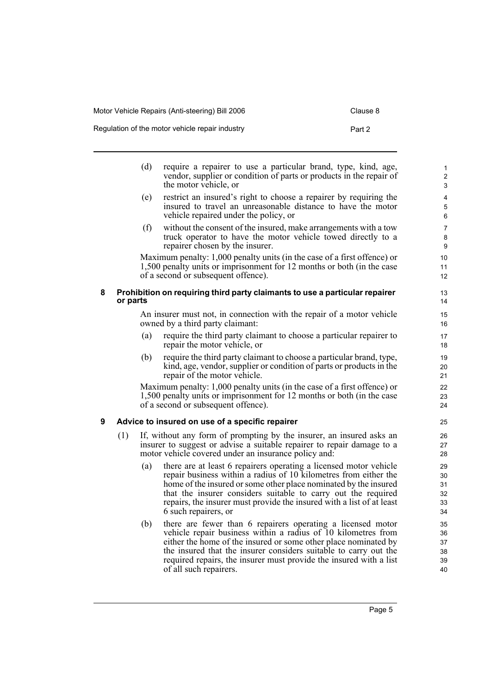<span id="page-10-1"></span><span id="page-10-0"></span>

|   |          | (d) | require a repairer to use a particular brand, type, kind, age,<br>vendor, supplier or condition of parts or products in the repair of<br>the motor vehicle, or                                                                                                                                                                                                              | $\mathbf{1}$<br>2<br>3           |
|---|----------|-----|-----------------------------------------------------------------------------------------------------------------------------------------------------------------------------------------------------------------------------------------------------------------------------------------------------------------------------------------------------------------------------|----------------------------------|
|   |          | (e) | restrict an insured's right to choose a repairer by requiring the<br>insured to travel an unreasonable distance to have the motor<br>vehicle repaired under the policy, or                                                                                                                                                                                                  | 4<br>$\mathbf 5$<br>6            |
|   |          | (f) | without the consent of the insured, make arrangements with a tow<br>truck operator to have the motor vehicle towed directly to a<br>repairer chosen by the insurer.                                                                                                                                                                                                         | $\overline{7}$<br>$\bf8$<br>9    |
|   |          |     | Maximum penalty: 1,000 penalty units (in the case of a first offence) or<br>1,500 penalty units or imprisonment for 12 months or both (in the case<br>of a second or subsequent offence).                                                                                                                                                                                   | 10<br>11<br>12                   |
| 8 | or parts |     | Prohibition on requiring third party claimants to use a particular repairer                                                                                                                                                                                                                                                                                                 | 13<br>14                         |
|   |          |     | An insurer must not, in connection with the repair of a motor vehicle<br>owned by a third party claimant:                                                                                                                                                                                                                                                                   | 15<br>16                         |
|   |          | (a) | require the third party claimant to choose a particular repairer to<br>repair the motor vehicle, or                                                                                                                                                                                                                                                                         | 17<br>18                         |
|   |          | (b) | require the third party claimant to choose a particular brand, type,<br>kind, age, vendor, supplier or condition of parts or products in the<br>repair of the motor vehicle.                                                                                                                                                                                                | 19<br>20<br>21                   |
|   |          |     | Maximum penalty: 1,000 penalty units (in the case of a first offence) or<br>1,500 penalty units or imprisonment for 12 months or both (in the case<br>of a second or subsequent offence).                                                                                                                                                                                   | 22<br>23<br>24                   |
| 9 |          |     | Advice to insured on use of a specific repairer                                                                                                                                                                                                                                                                                                                             | 25                               |
|   | (1)      |     | If, without any form of prompting by the insurer, an insured asks an<br>insurer to suggest or advise a suitable repairer to repair damage to a<br>motor vehicle covered under an insurance policy and:                                                                                                                                                                      | 26<br>27<br>28                   |
|   |          | (a) | there are at least 6 repairers operating a licensed motor vehicle<br>repair business within a radius of 10 kilometres from either the<br>home of the insured or some other place nominated by the insured<br>that the insurer considers suitable to carry out the required<br>repairs, the insurer must provide the insured with a list of at least<br>6 such repairers, or | 29<br>30<br>31<br>32<br>33<br>34 |
|   |          | (b) | there are fewer than 6 repairers operating a licensed motor<br>vehicle repair business within a radius of 10 kilometres from<br>either the home of the insured or some other place nominated by<br>the insured that the insurer considers suitable to carry out the<br>required repairs, the insurer must provide the insured with a list<br>of all such repairers.         | 35<br>36<br>37<br>38<br>39<br>40 |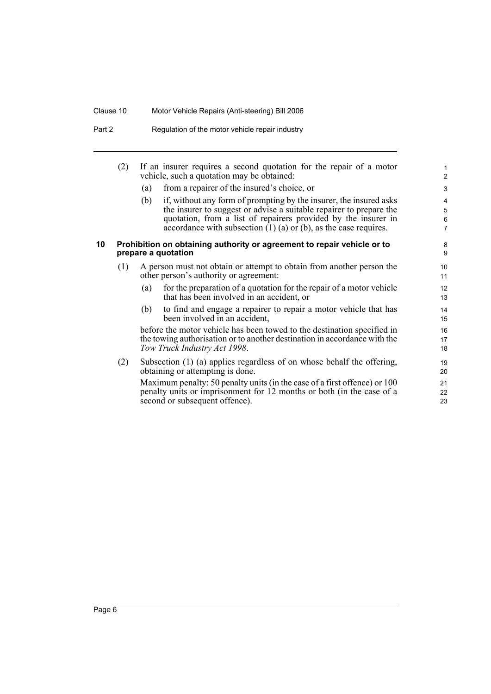#### Clause 10 Motor Vehicle Repairs (Anti-steering) Bill 2006

- Part 2 Regulation of the motor vehicle repair industry
	- (2) If an insurer requires a second quotation for the repair of a motor vehicle, such a quotation may be obtained:
		- (a) from a repairer of the insured's choice, or
		- (b) if, without any form of prompting by the insurer, the insured asks the insurer to suggest or advise a suitable repairer to prepare the quotation, from a list of repairers provided by the insurer in accordance with subsection  $(1)$  (a) or (b), as the case requires.

#### <span id="page-11-0"></span>**10 Prohibition on obtaining authority or agreement to repair vehicle or to prepare a quotation**

- (1) A person must not obtain or attempt to obtain from another person the other person's authority or agreement:
	- (a) for the preparation of a quotation for the repair of a motor vehicle that has been involved in an accident, or
	- (b) to find and engage a repairer to repair a motor vehicle that has been involved in an accident,

before the motor vehicle has been towed to the destination specified in the towing authorisation or to another destination in accordance with the *Tow Truck Industry Act 1998*.

(2) Subsection (1) (a) applies regardless of on whose behalf the offering, obtaining or attempting is done.

Maximum penalty: 50 penalty units (in the case of a first offence) or 100 penalty units or imprisonment for 12 months or both (in the case of a second or subsequent offence).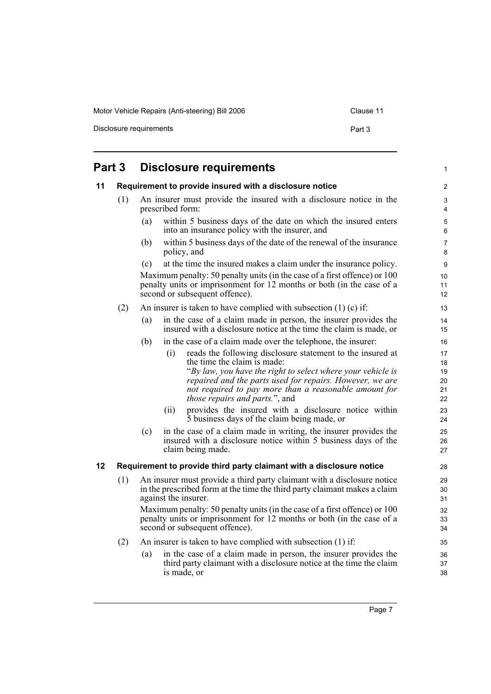Motor Vehicle Repairs (Anti-steering) Bill 2006 Clause 11

Disclosure requirements **Part 3** 

<span id="page-12-2"></span><span id="page-12-1"></span><span id="page-12-0"></span>

| Part 3 |                                                         | <b>Disclosure requirements</b>                                                                                                                                                                                                                                                                                         | 1                                |
|--------|---------------------------------------------------------|------------------------------------------------------------------------------------------------------------------------------------------------------------------------------------------------------------------------------------------------------------------------------------------------------------------------|----------------------------------|
| 11     | Requirement to provide insured with a disclosure notice |                                                                                                                                                                                                                                                                                                                        | 2                                |
|        | (1)                                                     | An insurer must provide the insured with a disclosure notice in the<br>prescribed form:                                                                                                                                                                                                                                | 3<br>4                           |
|        |                                                         | within 5 business days of the date on which the insured enters<br>(a)<br>into an insurance policy with the insurer, and                                                                                                                                                                                                | $\sqrt{5}$<br>6                  |
|        |                                                         | within 5 business days of the date of the renewal of the insurance<br>(b)<br>policy, and                                                                                                                                                                                                                               | $\overline{7}$<br>8              |
|        |                                                         | at the time the insured makes a claim under the insurance policy.<br>(c)                                                                                                                                                                                                                                               | 9                                |
|        |                                                         | Maximum penalty: 50 penalty units (in the case of a first offence) or 100<br>penalty units or imprisonment for 12 months or both (in the case of a<br>second or subsequent offence).                                                                                                                                   | 10<br>11<br>12                   |
|        | (2)                                                     | An insurer is taken to have complied with subsection $(1)$ (c) if:                                                                                                                                                                                                                                                     | 13                               |
|        |                                                         | in the case of a claim made in person, the insurer provides the<br>(a)<br>insured with a disclosure notice at the time the claim is made, or                                                                                                                                                                           | 14<br>15                         |
|        |                                                         | (b)<br>in the case of a claim made over the telephone, the insurer:                                                                                                                                                                                                                                                    | 16                               |
|        |                                                         | reads the following disclosure statement to the insured at<br>(i)<br>the time the claim is made:<br>"By law, you have the right to select where your vehicle is<br>repaired and the parts used for repairs. However, we are<br>not required to pay more than a reasonable amount for<br>those repairs and parts.", and | 17<br>18<br>19<br>20<br>21<br>22 |
|        |                                                         | provides the insured with a disclosure notice within<br>(ii)<br>5 business days of the claim being made, or                                                                                                                                                                                                            | 23<br>24                         |
|        |                                                         | in the case of a claim made in writing, the insurer provides the<br>(c)<br>insured with a disclosure notice within 5 business days of the<br>claim being made.                                                                                                                                                         | 25<br>26<br>27                   |
| 12     |                                                         | Requirement to provide third party claimant with a disclosure notice                                                                                                                                                                                                                                                   | 28                               |
|        | (1)                                                     | An insurer must provide a third party claimant with a disclosure notice<br>in the prescribed form at the time the third party claimant makes a claim<br>against the insurer.                                                                                                                                           | 29<br>30<br>31                   |
|        |                                                         | Maximum penalty: 50 penalty units (in the case of a first offence) or 100<br>penalty units or imprisonment for 12 months or both (in the case of a<br>second or subsequent offence).                                                                                                                                   | 32<br>33<br>34                   |
|        | (2)                                                     | An insurer is taken to have complied with subsection (1) if:                                                                                                                                                                                                                                                           | 35                               |
|        |                                                         | in the case of a claim made in person, the insurer provides the<br>(a)<br>third party claimant with a disclosure notice at the time the claim<br>is made, or                                                                                                                                                           | 36<br>37<br>38                   |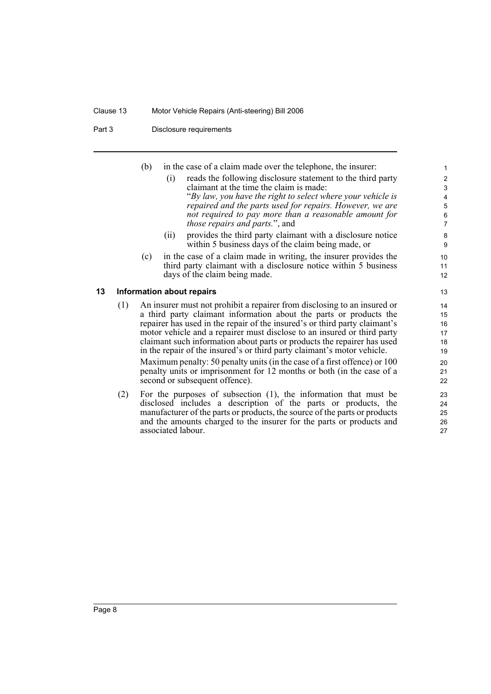#### Clause 13 Motor Vehicle Repairs (Anti-steering) Bill 2006

#### Part 3 Disclosure requirements

|    |     | (b) | in the case of a claim made over the telephone, the insurer:                                                                                                                                                                 | $\mathbf{1}$            |
|----|-----|-----|------------------------------------------------------------------------------------------------------------------------------------------------------------------------------------------------------------------------------|-------------------------|
|    |     |     | reads the following disclosure statement to the third party<br>(1)                                                                                                                                                           | $\overline{\mathbf{c}}$ |
|    |     |     | claimant at the time the claim is made:                                                                                                                                                                                      | $\mathfrak{S}$          |
|    |     |     | "By law, you have the right to select where your vehicle is                                                                                                                                                                  | $\overline{4}$          |
|    |     |     | repaired and the parts used for repairs. However, we are                                                                                                                                                                     | 5                       |
|    |     |     | not required to pay more than a reasonable amount for                                                                                                                                                                        | $\,6\,$                 |
|    |     |     | <i>those repairs and parts.</i> ", and                                                                                                                                                                                       | $\overline{7}$          |
|    |     |     | provides the third party claimant with a disclosure notice<br>(11)                                                                                                                                                           | 8                       |
|    |     |     | within 5 business days of the claim being made, or                                                                                                                                                                           | 9                       |
|    |     | (c) | in the case of a claim made in writing, the insurer provides the                                                                                                                                                             | 10                      |
|    |     |     | third party claimant with a disclosure notice within 5 business                                                                                                                                                              | 11                      |
|    |     |     | days of the claim being made.                                                                                                                                                                                                | 12                      |
| 13 |     |     | Information about repairs                                                                                                                                                                                                    | 13                      |
|    | (1) |     |                                                                                                                                                                                                                              | 14                      |
|    |     |     |                                                                                                                                                                                                                              | 15                      |
|    |     |     | An insurer must not prohibit a repairer from disclosing to an insured or<br>a third party claimant information about the parts or products the<br>repairer has used in the repair of the insured's or third party claimant's | 16                      |
|    |     |     | motor vehicle and a repairer must disclose to an insured or third party                                                                                                                                                      | 17                      |
|    |     |     | claimant such information about parts or products the repairer has used                                                                                                                                                      | 18                      |
|    |     |     | in the repair of the insured's or third party claimant's motor vehicle.                                                                                                                                                      | 19                      |
|    |     |     | Maximum penalty: 50 penalty units (in the case of a first offence) or 100                                                                                                                                                    | 20                      |
|    |     |     | penalty units or imprisonment for 12 months or both (in the case of a                                                                                                                                                        | 21                      |
|    |     |     | second or subsequent offence).                                                                                                                                                                                               | 22                      |
|    | (2) |     | For the nurnoses of subsection $(1)$ the information that must be                                                                                                                                                            | າາ                      |

<span id="page-13-0"></span>(2) For the purposes of subsection (1), the information that must be disclosed includes a description of the parts or products, the manufacturer of the parts or products, the source of the parts or products and the amounts charged to the insurer for the parts or products and associated labour.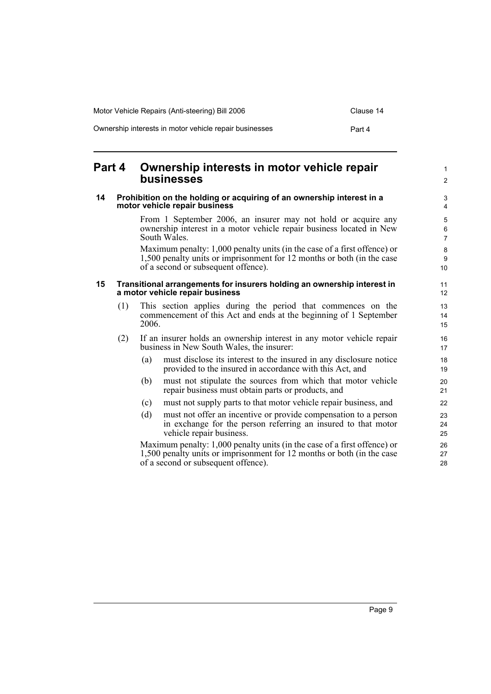| Motor Vehicle Repairs (Anti-steering) Bill 2006        | Clause 14 |
|--------------------------------------------------------|-----------|
| Ownership interests in motor vehicle repair businesses | Part 4    |

## <span id="page-14-0"></span>**Part 4 Ownership interests in motor vehicle repair businesses**

#### <span id="page-14-1"></span>**14 Prohibition on the holding or acquiring of an ownership interest in a motor vehicle repair business**

From 1 September 2006, an insurer may not hold or acquire any ownership interest in a motor vehicle repair business located in New South Wales.

Maximum penalty: 1,000 penalty units (in the case of a first offence) or 1,500 penalty units or imprisonment for 12 months or both (in the case of a second or subsequent offence).

#### <span id="page-14-2"></span>**15 Transitional arrangements for insurers holding an ownership interest in a motor vehicle repair business**

- (1) This section applies during the period that commences on the commencement of this Act and ends at the beginning of 1 September 2006.
- (2) If an insurer holds an ownership interest in any motor vehicle repair business in New South Wales, the insurer:
	- (a) must disclose its interest to the insured in any disclosure notice provided to the insured in accordance with this Act, and
	- (b) must not stipulate the sources from which that motor vehicle repair business must obtain parts or products, and
	- (c) must not supply parts to that motor vehicle repair business, and
	- (d) must not offer an incentive or provide compensation to a person in exchange for the person referring an insured to that motor vehicle repair business.

Maximum penalty: 1,000 penalty units (in the case of a first offence) or 1,500 penalty units or imprisonment for 12 months or both (in the case of a second or subsequent offence).

1 2